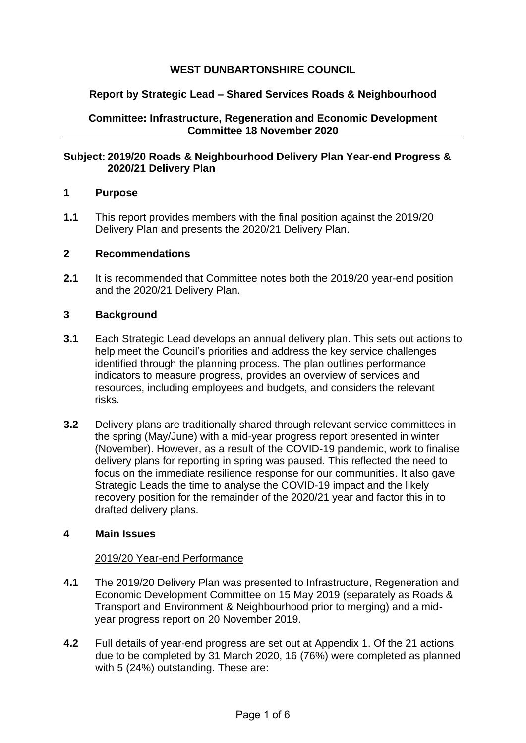# **WEST DUNBARTONSHIRE COUNCIL**

## **Report by Strategic Lead – Shared Services Roads & Neighbourhood**

**Committee: Infrastructure, Regeneration and Economic Development Committee 18 November 2020**

#### **Subject: 2019/20 Roads & Neighbourhood Delivery Plan Year-end Progress & 2020/21 Delivery Plan**

#### **1 Purpose**

**1.1** This report provides members with the final position against the 2019/20 Delivery Plan and presents the 2020/21 Delivery Plan.

#### **2 Recommendations**

**2.1** It is recommended that Committee notes both the 2019/20 year-end position and the 2020/21 Delivery Plan.

#### **3 Background**

- **3.1** Each Strategic Lead develops an annual delivery plan. This sets out actions to help meet the Council's priorities and address the key service challenges identified through the planning process. The plan outlines performance indicators to measure progress, provides an overview of services and resources, including employees and budgets, and considers the relevant risks.
- **3.2** Delivery plans are traditionally shared through relevant service committees in the spring (May/June) with a mid-year progress report presented in winter (November). However, as a result of the COVID-19 pandemic, work to finalise delivery plans for reporting in spring was paused. This reflected the need to focus on the immediate resilience response for our communities. It also gave Strategic Leads the time to analyse the COVID-19 impact and the likely recovery position for the remainder of the 2020/21 year and factor this in to drafted delivery plans.

## **4 Main Issues**

#### 2019/20 Year-end Performance

- **4.1** The 2019/20 Delivery Plan was presented to Infrastructure, Regeneration and Economic Development Committee on 15 May 2019 (separately as Roads & Transport and Environment & Neighbourhood prior to merging) and a midyear progress report on 20 November 2019.
- **4.2** Full details of year-end progress are set out at Appendix 1. Of the 21 actions due to be completed by 31 March 2020, 16 (76%) were completed as planned with 5 (24%) outstanding. These are: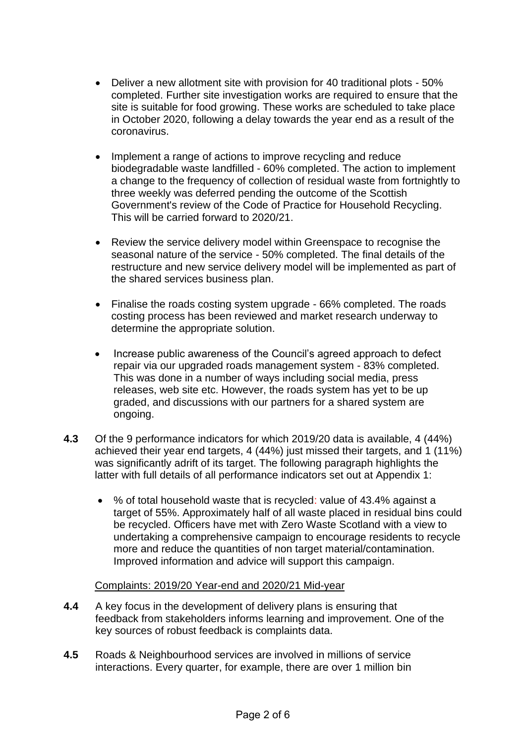- Deliver a new allotment site with provision for 40 traditional plots 50% completed. Further site investigation works are required to ensure that the site is suitable for food growing. These works are scheduled to take place in October 2020, following a delay towards the year end as a result of the coronavirus.
- Implement a range of actions to improve recycling and reduce biodegradable waste landfilled - 60% completed. The action to implement a change to the frequency of collection of residual waste from fortnightly to three weekly was deferred pending the outcome of the Scottish Government's review of the Code of Practice for Household Recycling. This will be carried forward to 2020/21.
- Review the service delivery model within Greenspace to recognise the seasonal nature of the service - 50% completed. The final details of the restructure and new service delivery model will be implemented as part of the shared services business plan.
- Finalise the roads costing system upgrade 66% completed. The roads costing process has been reviewed and market research underway to determine the appropriate solution.
- Increase public awareness of the Council's agreed approach to defect repair via our upgraded roads management system - 83% completed. This was done in a number of ways including social media, press releases, web site etc. However, the roads system has yet to be up graded, and discussions with our partners for a shared system are ongoing.
- **4.3** Of the 9 performance indicators for which 2019/20 data is available, 4 (44%) achieved their year end targets, 4 (44%) just missed their targets, and 1 (11%) was significantly adrift of its target. The following paragraph highlights the latter with full details of all performance indicators set out at Appendix 1:
	- % of total household waste that is recycled: value of 43.4% against a target of 55%. Approximately half of all waste placed in residual bins could be recycled. Officers have met with Zero Waste Scotland with a view to undertaking a comprehensive campaign to encourage residents to recycle more and reduce the quantities of non target material/contamination. Improved information and advice will support this campaign.

## Complaints: 2019/20 Year-end and 2020/21 Mid-year

- **4.4** A key focus in the development of delivery plans is ensuring that feedback from stakeholders informs learning and improvement. One of the key sources of robust feedback is complaints data.
- **4.5** Roads & Neighbourhood services are involved in millions of service interactions. Every quarter, for example, there are over 1 million bin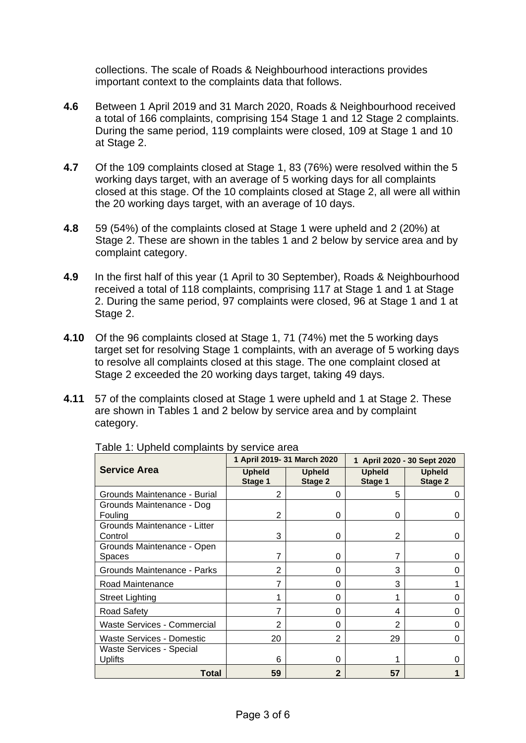collections. The scale of Roads & Neighbourhood interactions provides important context to the complaints data that follows.

- **4.6** Between 1 April 2019 and 31 March 2020, Roads & Neighbourhood received a total of 166 complaints, comprising 154 Stage 1 and 12 Stage 2 complaints. During the same period, 119 complaints were closed, 109 at Stage 1 and 10 at Stage 2.
- **4.7** Of the 109 complaints closed at Stage 1, 83 (76%) were resolved within the 5 working days target, with an average of 5 working days for all complaints closed at this stage. Of the 10 complaints closed at Stage 2, all were all within the 20 working days target, with an average of 10 days.
- **4.8** 59 (54%) of the complaints closed at Stage 1 were upheld and 2 (20%) at Stage 2. These are shown in the tables 1 and 2 below by service area and by complaint category.
- **4.9** In the first half of this year (1 April to 30 September), Roads & Neighbourhood received a total of 118 complaints, comprising 117 at Stage 1 and 1 at Stage 2. During the same period, 97 complaints were closed, 96 at Stage 1 and 1 at Stage 2.
- **4.10** Of the 96 complaints closed at Stage 1, 71 (74%) met the 5 working days target set for resolving Stage 1 complaints, with an average of 5 working days to resolve all complaints closed at this stage. The one complaint closed at Stage 2 exceeded the 20 working days target, taking 49 days.
- **4.11** 57 of the complaints closed at Stage 1 were upheld and 1 at Stage 2. These are shown in Tables 1 and 2 below by service area and by complaint category.

|                                    | 1 April 2019- 31 March 2020 |                                 | 1 April 2020 - 30 Sept 2020 |                          |
|------------------------------------|-----------------------------|---------------------------------|-----------------------------|--------------------------|
| <b>Service Area</b>                | <b>Upheld</b><br>Stage 1    | <b>Upheld</b><br><b>Stage 2</b> | <b>Upheld</b><br>Stage 1    | <b>Upheld</b><br>Stage 2 |
| Grounds Maintenance - Burial       | 2                           | 0                               | 5                           |                          |
| Grounds Maintenance - Dog          |                             |                                 |                             |                          |
| Fouling                            | 2                           | 0                               | 0                           |                          |
| Grounds Maintenance - Litter       |                             |                                 |                             |                          |
| Control                            | 3                           | 0                               | 2                           |                          |
| Grounds Maintenance - Open         |                             |                                 |                             |                          |
| Spaces                             |                             | 0                               |                             |                          |
| Grounds Maintenance - Parks        | 2                           | 0                               | 3                           | 0                        |
| Road Maintenance                   |                             | 0                               | 3                           |                          |
| <b>Street Lighting</b>             |                             | 0                               |                             |                          |
| <b>Road Safety</b>                 |                             | 0                               | 4                           |                          |
| <b>Waste Services - Commercial</b> | $\overline{2}$              | 0                               | 2                           |                          |
| <b>Waste Services - Domestic</b>   | 20                          | 2                               | 29                          | 0                        |
| <b>Waste Services - Special</b>    |                             |                                 |                             |                          |
| Uplifts                            | 6                           | 0                               |                             |                          |
| Total                              | 59                          | $\mathbf{2}$                    | 57                          |                          |

Table 1: Upheld complaints by service area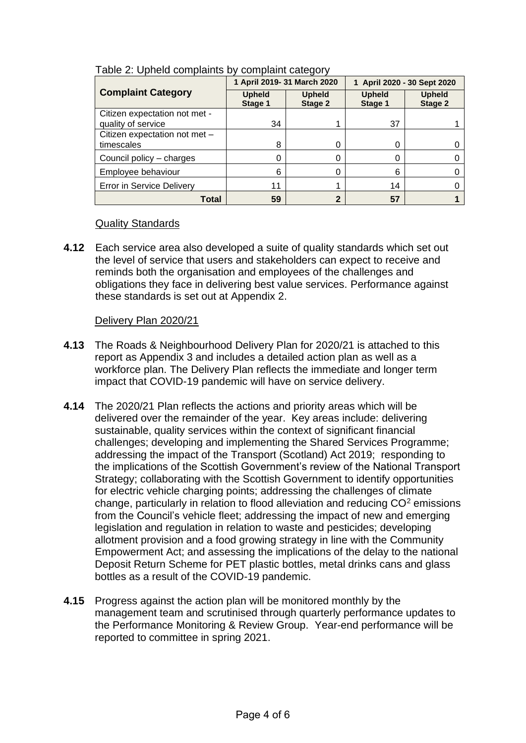|                                                     | 1 April 2019- 31 March 2020 |                          | 1 April 2020 - 30 Sept 2020 |                          |
|-----------------------------------------------------|-----------------------------|--------------------------|-----------------------------|--------------------------|
| <b>Complaint Category</b>                           | <b>Upheld</b><br>Stage 1    | <b>Upheld</b><br>Stage 2 | <b>Upheld</b><br>Stage 1    | <b>Upheld</b><br>Stage 2 |
| Citizen expectation not met -<br>quality of service | 34                          |                          | 37                          |                          |
| Citizen expectation not met -<br>timescales         | 8                           |                          |                             |                          |
| Council policy - charges                            |                             |                          |                             |                          |
| Employee behaviour                                  | 6                           |                          | 6                           |                          |
| <b>Error in Service Delivery</b>                    | 11                          |                          | 14                          |                          |
| Total                                               | 59                          |                          | 57                          |                          |

#### Table 2: Upheld complaints by complaint category

## Quality Standards

**4.12** Each service area also developed a suite of quality standards which set out the level of service that users and stakeholders can expect to receive and reminds both the organisation and employees of the challenges and obligations they face in delivering best value services. Performance against these standards is set out at Appendix 2.

## Delivery Plan 2020/21

- **4.13** The Roads & Neighbourhood Delivery Plan for 2020/21 is attached to this report as Appendix 3 and includes a detailed action plan as well as a workforce plan. The Delivery Plan reflects the immediate and longer term impact that COVID-19 pandemic will have on service delivery.
- **4.14** The 2020/21 Plan reflects the actions and priority areas which will be delivered over the remainder of the year. Key areas include: delivering sustainable, quality services within the context of significant financial challenges; developing and implementing the Shared Services Programme; addressing the impact of the Transport (Scotland) Act 2019; responding to the implications of the Scottish Government's review of the National Transport Strategy; collaborating with the Scottish Government to identify opportunities for electric vehicle charging points; addressing the challenges of climate change, particularly in relation to flood alleviation and reducing  $CO<sup>2</sup>$  emissions from the Council's vehicle fleet; addressing the impact of new and emerging legislation and regulation in relation to waste and pesticides; developing allotment provision and a food growing strategy in line with the Community Empowerment Act; and assessing the implications of the delay to the national Deposit Return Scheme for PET plastic bottles, metal drinks cans and glass bottles as a result of the COVID-19 pandemic.
- **4.15** Progress against the action plan will be monitored monthly by the management team and scrutinised through quarterly performance updates to the Performance Monitoring & Review Group. Year-end performance will be reported to committee in spring 2021.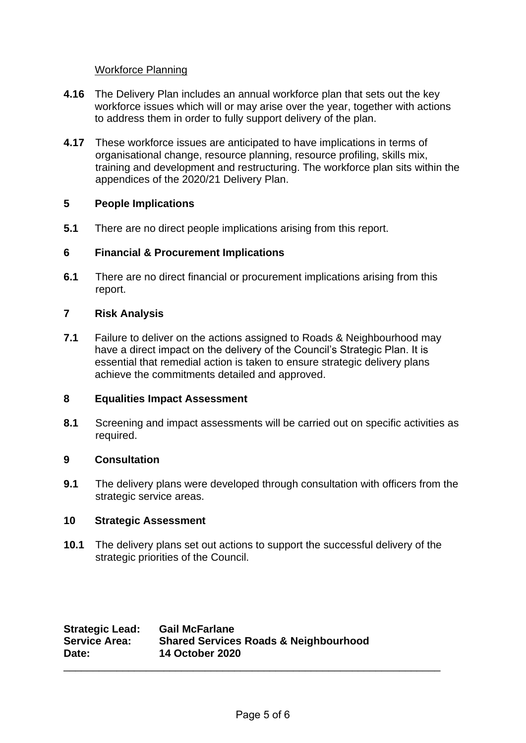## Workforce Planning

- **4.16** The Delivery Plan includes an annual workforce plan that sets out the key workforce issues which will or may arise over the year, together with actions to address them in order to fully support delivery of the plan.
- **4.17** These workforce issues are anticipated to have implications in terms of organisational change, resource planning, resource profiling, skills mix, training and development and restructuring. The workforce plan sits within the appendices of the 2020/21 Delivery Plan.

# **5 People Implications**

**5.1** There are no direct people implications arising from this report.

## **6 Financial & Procurement Implications**

**6.1** There are no direct financial or procurement implications arising from this report.

## **7 Risk Analysis**

**7.1** Failure to deliver on the actions assigned to Roads & Neighbourhood may have a direct impact on the delivery of the Council's Strategic Plan. It is essential that remedial action is taken to ensure strategic delivery plans achieve the commitments detailed and approved.

## **8 Equalities Impact Assessment**

**8.1** Screening and impact assessments will be carried out on specific activities as required.

## **9 Consultation**

**9.1** The delivery plans were developed through consultation with officers from the strategic service areas.

## **10 Strategic Assessment**

**10.1** The delivery plans set out actions to support the successful delivery of the strategic priorities of the Council.

| <b>Strategic Lead:</b> | <b>Gail McFarlane</b>                            |
|------------------------|--------------------------------------------------|
| <b>Service Area:</b>   | <b>Shared Services Roads &amp; Neighbourhood</b> |
| Date:                  | <b>14 October 2020</b>                           |
|                        |                                                  |